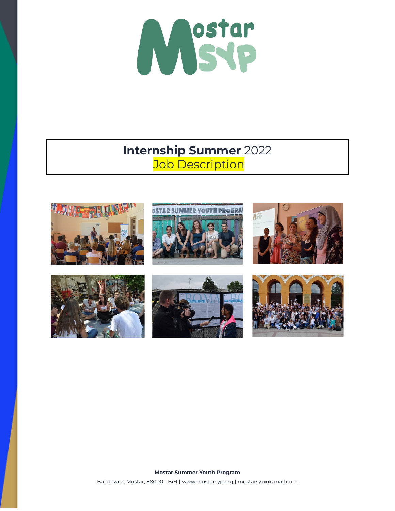

## **Internship Summer** 2022 **Job Description**

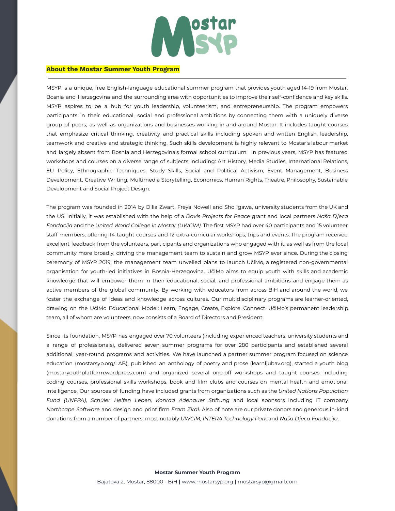

## **About the Mostar Summer Youth Program**

MSYP is a unique, free English-language educational summer program that provides youth aged 14-19 from Mostar, Bosnia and Herzegovina and the surrounding area with opportunities to improve their self-confidence and key skills. MSYP aspires to be a hub for youth leadership, volunteerism, and entrepreneurship. The program empowers participants in their educational, social and professional ambitions by connecting them with a uniquely diverse group of peers, as well as organizations and businesses working in and around Mostar. It includes taught courses that emphasize critical thinking, creativity and practical skills including spoken and written English, leadership, teamwork and creative and strategic thinking. Such skills development is highly relevant to Mostar's labour market and largely absent from Bosnia and Herzegovina's formal school curriculum. In previous years, MSYP has featured workshops and courses on a diverse range of subjects including: Art History, Media Studies, International Relations, EU Policy, Ethnographic Techniques, Study Skills, Social and Political Activism, Event Management, Business Development, Creative Writing, Multimedia Storytelling, Economics, Human Rights, Theatre, Philosophy, Sustainable Development and Social Project Design.

The program was founded in 2014 by Dilia Zwart, Freya Nowell and Sho Igawa, university students from the UK and the US. Initially, it was established with the help of a *Davis Projects for Peace* grant and local partners *Naša Djeca Fondacija* and the *United World College in Mostar (UWCiM)*. The first MSYP had over 40 participants and 15 volunteer staff members, offering 14 taught courses and 12 extra-curricular workshops, trips and events. The program received excellent feedback from the volunteers, participants and organizations who engaged with it, as well as from the local community more broadly, driving the management team to sustain and grow MSYP ever since. During the closing ceremony of MSYP 2019, the management team unveiled plans to launch UčiMo, a registered non-governmental organisation for youth-led initiatives in Bosnia-Herzegovina. UčiMo aims to equip youth with skills and academic knowledge that will empower them in their educational, social, and professional ambitions and engage them as active members of the global community. By working with educators from across BiH and around the world, we foster the exchange of ideas and knowledge across cultures. Our multidisciplinary programs are learner-oriented, drawing on the UčiMo Educational Model: Learn, Engage, Create, Explore, Connect. UčiMo's permanent leadership team, all of whom are volunteers, now consists of a Board of Directors and President.

Since its foundation, MSYP has engaged over 70 volunteers (including experienced teachers, university students and a range of professionals), delivered seven summer programs for over 280 participants and established several additional, year-round programs and activities. We have launched a partner summer program focused on science education (mostarsyp.org/LAB), published an anthology of poetry and prose (learnljubav.org), started a youth blog (mostaryouthplatform.wordpress.com) and organized several one-off workshops and taught courses, including coding courses, professional skills workshops, book and film clubs and courses on mental health and emotional intelligence. Our sources of funding have included grants from organizations such as the *United Nations Population Fund (UNFPA)*, *Schüler Helfen Leben, Konrad Adenauer Stiftung* and local sponsors including IT company *Northcape Software* and design and print firm *Fram Ziral*. Also of note are our private donors and generous in-kind donations from a number of partners, most notably *UWCiM, INTERA Technology Park* and *Naša Djeca Fondacija*.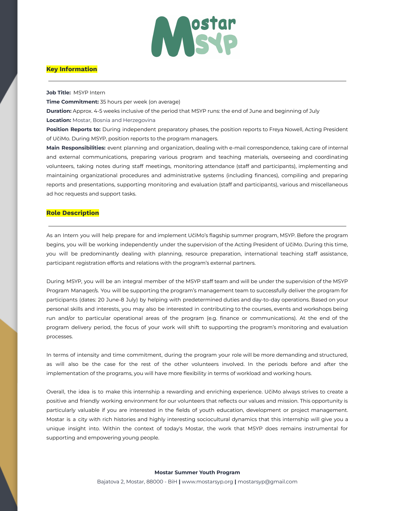

## **Key Information**

**Job Title:** MSYP Intern

**Time Commitment:** 35 hours per week (on average)

**Duration:** Approx. 4-5 weeks inclusive of the period that MSYP runs: the end of June and beginning of July **Location:** Mostar, Bosnia and Herzegovina

**Position Reports to:** During independent preparatory phases, the position reports to Freya Nowell, Acting President of UčiMo. During MSYP, position reports to the program managers.

**Main Responsibilities:** event planning and organization, dealing with e-mail correspondence, taking care of internal and external communications, preparing various program and teaching materials, overseeing and coordinating volunteers, taking notes during staff meetings, monitoring attendance (staff and participants), implementing and maintaining organizational procedures and administrative systems (including finances), compiling and preparing reports and presentations, supporting monitoring and evaluation (staff and participants), various and miscellaneous ad hoc requests and support tasks.

## **Role Description**

As an Intern you will help prepare for and implement UčiMo's flagship summer program, MSYP. Before the program begins, you will be working independently under the supervision of the Acting President of UčiMo. During this time, you will be predominantly dealing with planning, resource preparation, international teaching staff assistance, participant registration efforts and relations with the program's external partners.

During MSYP, you will be an integral member of the MSYP staff team and will be under the supervision of the MSYP Program Manager/s. You will be supporting the program's management team to successfully deliver the program for participants (dates: 20 June-8 July) by helping with predetermined duties and day-to-day operations. Based on your personal skills and interests, you may also be interested in contributing to the courses, events and workshops being run and/or to particular operational areas of the program (e.g. finance or communications). At the end of the program delivery period, the focus of your work will shift to supporting the program's monitoring and evaluation processes.

In terms of intensity and time commitment, during the program your role will be more demanding and structured, as will also be the case for the rest of the other volunteers involved. In the periods before and after the implementation of the programs, you will have more flexibility in terms of workload and working hours.

Overall, the idea is to make this internship a rewarding and enriching experience. UčiMo always strives to create a positive and friendly working environment for our volunteers that reflects our values and mission. This opportunity is particularly valuable if you are interested in the fields of youth education, development or project management. Mostar is a city with rich histories and highly interesting sociocultural dynamics that this internship will give you a unique insight into. Within the context of today's Mostar, the work that MSYP does remains instrumental for supporting and empowering young people.